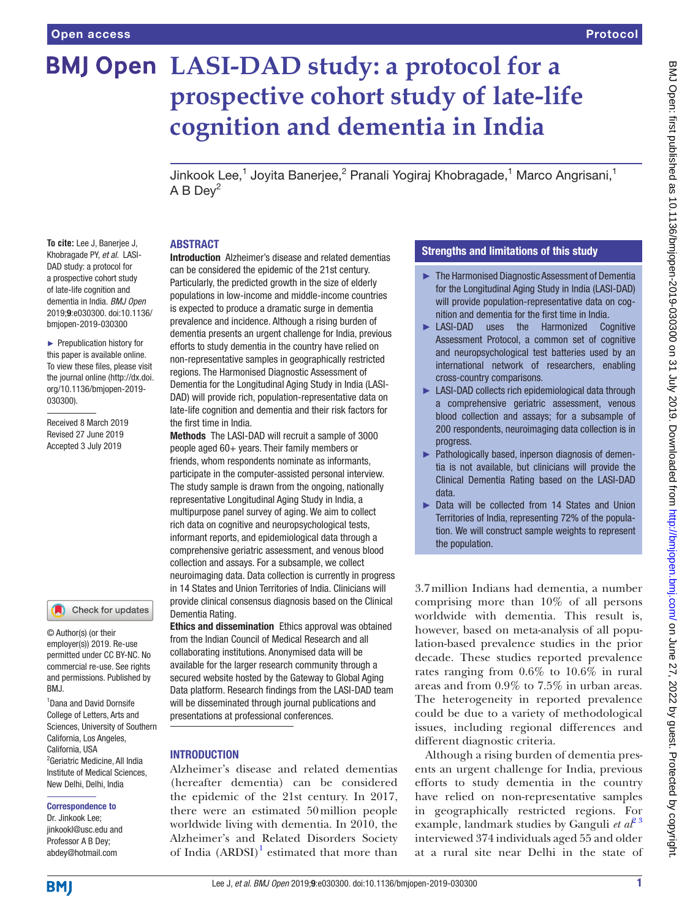# **BMJ Open LASI-DAD study: a protocol for a prospective cohort study of late-life cognition and dementia in India**

Jinkook Lee, $^1$  Joyita Banerjee, $^2$  Pranali Yogiraj Khobragade, $^1$  Marco Angrisani, $^1$ A B Dev $^2$ 

#### **ABSTRACT**

**To cite:** Lee J, Banerjee J, Khobragade PY, *et al*. LASI-DAD study: a protocol for a prospective cohort study of late-life cognition and dementia in India. *BMJ Open* 2019;9:e030300. doi:10.1136/ bmjopen-2019-030300

► Prepublication history for this paper is available online. To view these files, please visit the journal online (http://dx.doi. org/10.1136/bmjopen-2019- 030300).

Received 8 March 2019 Revised 27 June 2019 Accepted 3 July 2019



© Author(s) (or their employer(s)) 2019. Re-use permitted under CC BY-NC. No commercial re-use. See rights and permissions. Published by RM<sub>J</sub>

<sup>1</sup> Dana and David Dornsife College of Letters, Arts and Sciences, University of Southern California, Los Angeles, California, USA <sup>2</sup> Geriatric Medicine, All India Institute of Medical Sciences, New Delhi, Delhi, India

# Correspondence to

Dr. Jinkook Lee; jinkookl@usc.edu and Professor A B Dey; abdey@hotmail.com

Introduction Alzheimer's disease and related dementias can be considered the epidemic of the 21st century. Particularly, the predicted growth in the size of elderly populations in low-income and middle-income countries is expected to produce a dramatic surge in dementia prevalence and incidence. Although a rising burden of dementia presents an urgent challenge for India, previous efforts to study dementia in the country have relied on non-representative samples in geographically restricted regions. The Harmonised Diagnostic Assessment of Dementia for the Longitudinal Aging Study in India (LASI-DAD) will provide rich, population-representative data on late-life cognition and dementia and their risk factors for the first time in India.

Methods The LASI-DAD will recruit a sample of 3000 people aged 60+ years. Their family members or friends, whom respondents nominate as informants, participate in the computer-assisted personal interview. The study sample is drawn from the ongoing, nationally representative Longitudinal Aging Study in India, a multipurpose panel survey of aging. We aim to collect rich data on cognitive and neuropsychological tests, informant reports, and epidemiological data through a comprehensive geriatric assessment, and venous blood collection and assays. For a subsample, we collect neuroimaging data. Data collection is currently in progress in 14 States and Union Territories of India. Clinicians will provide clinical consensus diagnosis based on the Clinical Dementia Rating.

Ethics and dissemination Ethics approval was obtained from the Indian Council of Medical Research and all collaborating institutions. Anonymised data will be available for the larger research community through a secured website hosted by the Gateway to Global Aging Data platform. Research findings from the LASI-DAD team will be disseminated through journal publications and presentations at professional conferences.

# **INTRODUCTION**

Alzheimer's disease and related dementias (hereafter dementia) can be considered the epidemic of the 21st century. In 2017, there were an estimated 50million people worldwide living with dementia. In 2010, the Alzheimer's and Related Disorders Society of India (ARDSI)<sup>[1](#page-6-0)</sup> estimated that more than

# Strengths and limitations of this study

- ► The Harmonised Diagnostic Assessment of Dementia for the Longitudinal Aging Study in India (LASI-DAD) will provide population-representative data on cognition and dementia for the first time in India.
- ► LASI-DAD uses the Harmonized Cognitive Assessment Protocol, a common set of cognitive and neuropsychological test batteries used by an international network of researchers, enabling cross-country comparisons.
- ► LASI-DAD collects rich epidemiological data through a comprehensive geriatric assessment, venous blood collection and assays; for a subsample of 200 respondents, neuroimaging data collection is in progress.
- ► Pathologically based, inperson diagnosis of dementia is not available, but clinicians will provide the Clinical Dementia Rating based on the LASI-DAD data.
- ► Data will be collected from 14 States and Union Territories of India, representing 72% of the population. We will construct sample weights to represent the population.

3.7million Indians had dementia, a number comprising more than 10% of all persons worldwide with dementia. This result is, however, based on meta-analysis of all population-based prevalence studies in the prior decade. These studies reported prevalence rates ranging from 0.6% to 10.6% in rural areas and from 0.9% to 7.5% in urban areas. The heterogeneity in reported prevalence could be due to a variety of methodological issues, including regional differences and different diagnostic criteria.

Although a rising burden of dementia presents an urgent challenge for India, previous efforts to study dementia in the country have relied on non-representative samples in geographically restricted regions. For example, landmark studies by Ganguli *et al*[2 3](#page-6-1) interviewed 374 individuals aged 55 and older at a rural site near Delhi in the state of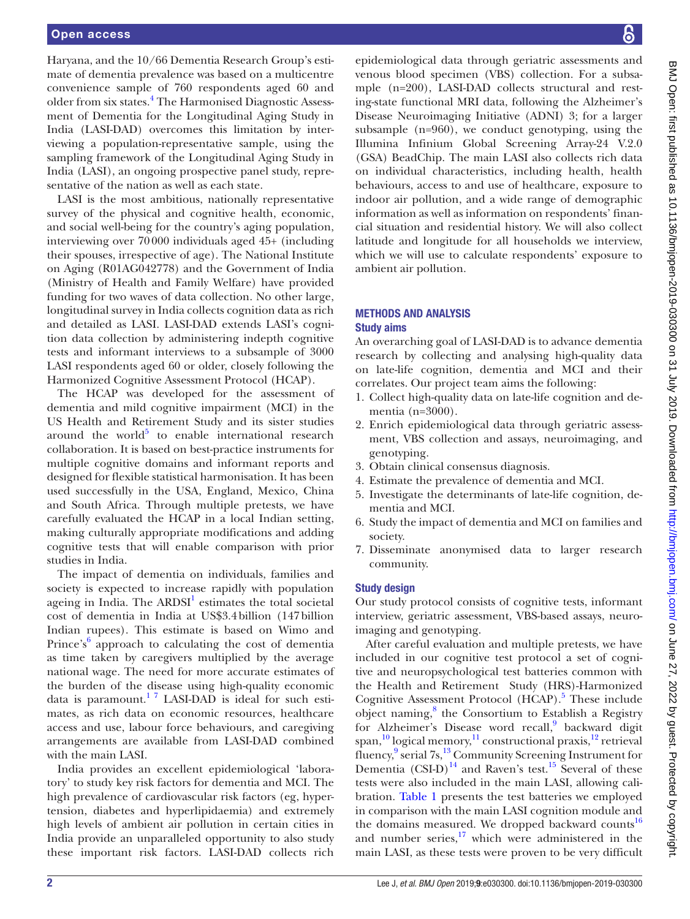Haryana, and the 10/66 Dementia Research Group's estimate of dementia prevalence was based on a multicentre convenience sample of 760 respondents aged 60 and older from six states.<sup>[4](#page-6-2)</sup> The Harmonised Diagnostic Assessment of Dementia for the Longitudinal Aging Study in India (LASI-DAD) overcomes this limitation by interviewing a population-representative sample, using the sampling framework of the Longitudinal Aging Study in India (LASI), an ongoing prospective panel study, representative of the nation as well as each state.

LASI is the most ambitious, nationally representative survey of the physical and cognitive health, economic, and social well-being for the country's aging population, interviewing over 70000 individuals aged 45+ (including their spouses, irrespective of age). The National Institute on Aging (R01AG042778) and the Government of India (Ministry of Health and Family Welfare) have provided funding for two waves of data collection. No other large, longitudinal survey in India collects cognition data as rich and detailed as LASI. LASI-DAD extends LASI's cognition data collection by administering indepth cognitive tests and informant interviews to a subsample of 3000 LASI respondents aged 60 or older, closely following the Harmonized Cognitive Assessment Protocol (HCAP).

The HCAP was developed for the assessment of dementia and mild cognitive impairment (MCI) in the US Health and Retirement Study and its sister studies around the world $5$  to enable international research collaboration. It is based on best-practice instruments for multiple cognitive domains and informant reports and designed for flexible statistical harmonisation. It has been used successfully in the USA, England, Mexico, China and South Africa. Through multiple pretests, we have carefully evaluated the HCAP in a local Indian setting, making culturally appropriate modifications and adding cognitive tests that will enable comparison with prior studies in India.

The impact of dementia on individuals, families and society is expected to increase rapidly with population ageing in India. The ARDSI<sup>[1](#page-6-0)</sup> estimates the total societal cost of dementia in India at US\$3.4billion (147billion Indian rupees). This estimate is based on Wimo and Prince's<sup>[6](#page-6-4)</sup> approach to calculating the cost of dementia as time taken by caregivers multiplied by the average national wage. The need for more accurate estimates of the burden of the disease using high-quality economic data is paramount.<sup>17</sup> LASI-DAD is ideal for such estimates, as rich data on economic resources, healthcare access and use, labour force behaviours, and caregiving arrangements are available from LASI-DAD combined with the main LASI.

India provides an excellent epidemiological 'laboratory' to study key risk factors for dementia and MCI. The high prevalence of cardiovascular risk factors (eg, hypertension, diabetes and hyperlipidaemia) and extremely high levels of ambient air pollution in certain cities in India provide an unparalleled opportunity to also study these important risk factors. LASI-DAD collects rich

epidemiological data through geriatric assessments and venous blood specimen (VBS) collection. For a subsample (n=200), LASI-DAD collects structural and resting-state functional MRI data, following the Alzheimer's Disease Neuroimaging Initiative (ADNI) 3; for a larger subsample (n=960), we conduct genotyping, using the Illumina Infinium Global Screening Array-24 V.2.0 (GSA) BeadChip. The main LASI also collects rich data on individual characteristics, including health, health behaviours, access to and use of healthcare, exposure to indoor air pollution, and a wide range of demographic information as well as information on respondents' financial situation and residential history. We will also collect latitude and longitude for all households we interview, which we will use to calculate respondents' exposure to ambient air pollution.

#### Methods and analysis Study aims

An overarching goal of LASI-DAD is to advance dementia research by collecting and analysing high-quality data on late-life cognition, dementia and MCI and their correlates. Our project team aims the following:

- 1. Collect high-quality data on late-life cognition and dementia (n=3000).
- 2. Enrich epidemiological data through geriatric assessment, VBS collection and assays, neuroimaging, and genotyping.
- 3. Obtain clinical consensus diagnosis.
- 4. Estimate the prevalence of dementia and MCI.
- 5. Investigate the determinants of late-life cognition, dementia and MCI.
- 6. Study the impact of dementia and MCI on families and society.
- 7. Disseminate anonymised data to larger research community.

### Study design

Our study protocol consists of cognitive tests, informant interview, geriatric assessment, VBS-based assays, neuroimaging and genotyping.

After careful evaluation and multiple pretests, we have included in our cognitive test protocol a set of cognitive and neuropsychological test batteries common with the Health and Retirement Study (HRS)-Harmonized Cognitive Assessment Protocol (HCAP).<sup>[5](#page-6-3)</sup> These include object naming,<sup>[8](#page-6-5)</sup> the Consortium to Establish a Registry for Alzheimer's Disease word recall,<sup>[9](#page-6-6)</sup> backward digit span,<sup>10</sup> logical memory,<sup>11</sup> constructional praxis,<sup>12</sup> retrieval fluency,<sup>[9](#page-6-6)</sup> serial 7s,<sup>[13](#page-6-10)</sup> Community Screening Instrument for Dementia  $(CSI-D)^{14}$  and Raven's test.<sup>15</sup> Several of these tests were also included in the main LASI, allowing calibration. [Table](#page-2-0) 1 presents the test batteries we employed in comparison with the main LASI cognition module and the domains measured. We dropped backward counts<sup>[16](#page-6-13)</sup> and number series, $17$  which were administered in the main LASI, as these tests were proven to be very difficult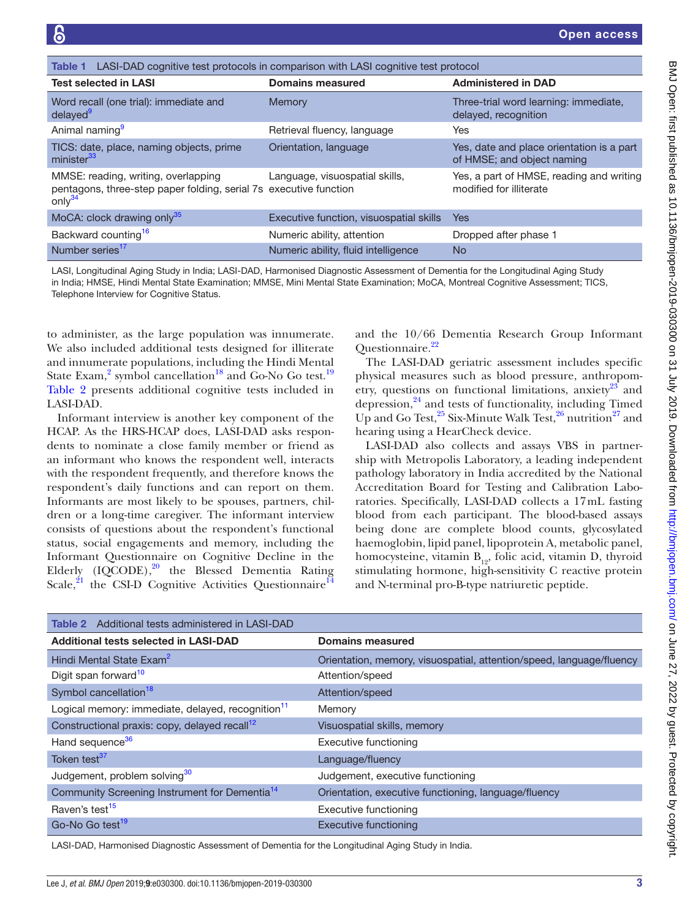<span id="page-2-0"></span>

| LASI-DAD cognitive test protocols in comparison with LASI cognitive test protocol<br>Table 1                          |                                         |                                                                         |  |
|-----------------------------------------------------------------------------------------------------------------------|-----------------------------------------|-------------------------------------------------------------------------|--|
| <b>Test selected in LASI</b>                                                                                          | Domains measured                        | <b>Administered in DAD</b>                                              |  |
| Word recall (one trial): immediate and<br>delayed                                                                     | Memory                                  | Three-trial word learning: immediate,<br>delayed, recognition           |  |
| Animal naming <sup>9</sup>                                                                                            | Retrieval fluency, language             | <b>Yes</b>                                                              |  |
| TICS: date, place, naming objects, prime<br>minister <sup>33</sup>                                                    | Orientation, language                   | Yes, date and place orientation is a part<br>of HMSE; and object naming |  |
| MMSE: reading, writing, overlapping<br>pentagons, three-step paper folding, serial 7s executive function<br>only $34$ | Language, visuospatial skills,          | Yes, a part of HMSE, reading and writing<br>modified for illiterate     |  |
| MoCA: clock drawing only <sup>35</sup>                                                                                | Executive function, visuospatial skills | Yes                                                                     |  |
| Backward counting <sup>16</sup>                                                                                       | Numeric ability, attention              | Dropped after phase 1                                                   |  |
| Number series <sup>17</sup>                                                                                           | Numeric ability, fluid intelligence     | <b>No</b>                                                               |  |

LASI, Longitudinal Aging Study in India; LASI-DAD, Harmonised Diagnostic Assessment of Dementia for the Longitudinal Aging Study in India; HMSE, Hindi Mental State Examination; MMSE, Mini Mental State Examination; MoCA, Montreal Cognitive Assessment; TICS, Telephone Interview for Cognitive Status.

to administer, as the large population was innumerate. We also included additional tests designed for illiterate and innumerate populations, including the Hindi Mental State Exam,<sup>[2](#page-6-1)</sup> symbol cancellation<sup>18</sup> and Go-No Go test.<sup>19</sup> [Table](#page-2-1) 2 presents additional cognitive tests included in LASI-DAD.

Informant interview is another key component of the HCAP. As the HRS-HCAP does, LASI-DAD asks respondents to nominate a close family member or friend as an informant who knows the respondent well, interacts with the respondent frequently, and therefore knows the respondent's daily functions and can report on them. Informants are most likely to be spouses, partners, children or a long-time caregiver. The informant interview consists of questions about the respondent's functional status, social engagements and memory, including the Informant Questionnaire on Cognitive Decline in the Elderly  $(IQCODE)$ ,<sup>20</sup> the Blessed Dementia Rating Scale, $^{21}$  the CSI-D Cognitive Activities Questionnaire<sup>14</sup>

and the 10/66 Dementia Research Group Informant Questionnaire.<sup>22</sup>

The LASI-DAD geriatric assessment includes specific physical measures such as blood pressure, anthropom-etry, questions on functional limitations, anxiety<sup>[23](#page-6-20)</sup> and depression,<sup>24</sup> and tests of functionality, including Timed Up and Go Test, $^{25}$  $^{25}$  $^{25}$  Six-Minute Walk Test, $^{26}$  nutrition<sup>27</sup> and hearing using a HearCheck device.

LASI-DAD also collects and assays VBS in partnership with Metropolis Laboratory, a leading independent pathology laboratory in India accredited by the National Accreditation Board for Testing and Calibration Laboratories. Specifically, LASI-DAD collects a 17mL fasting blood from each participant. The blood-based assays being done are complete blood counts, glycosylated haemoglobin, lipid panel, lipoprotein A, metabolic panel, homocysteine, vitamin  $B_{12}$ , folic acid, vitamin D, thyroid stimulating hormone, high-sensitivity C reactive protein and N-terminal pro-B-type natriuretic peptide.

<span id="page-2-1"></span>

| <b>Table 2</b> Additional tests administered in LASI-DAD      |                                                                      |  |
|---------------------------------------------------------------|----------------------------------------------------------------------|--|
| Additional tests selected in LASI-DAD                         | Domains measured                                                     |  |
| Hindi Mental State Exam <sup>2</sup>                          | Orientation, memory, visuospatial, attention/speed, language/fluency |  |
| Digit span forward <sup>10</sup>                              | Attention/speed                                                      |  |
| Symbol cancellation <sup>18</sup>                             | Attention/speed                                                      |  |
| Logical memory: immediate, delayed, recognition <sup>11</sup> | Memory                                                               |  |
| Constructional praxis: copy, delayed recall <sup>12</sup>     | Visuospatial skills, memory                                          |  |
| Hand sequence <sup>36</sup>                                   | Executive functioning                                                |  |
| Token test <sup>37</sup>                                      | Language/fluency                                                     |  |
| Judgement, problem solving <sup>30</sup>                      | Judgement, executive functioning                                     |  |
| Community Screening Instrument for Dementia <sup>14</sup>     | Orientation, executive functioning, language/fluency                 |  |
| Raven's test <sup>15</sup>                                    | Executive functioning                                                |  |
| Go-No Go test <sup>19</sup>                                   | <b>Executive functioning</b>                                         |  |

LASI-DAD, Harmonised Diagnostic Assessment of Dementia for the Longitudinal Aging Study in India.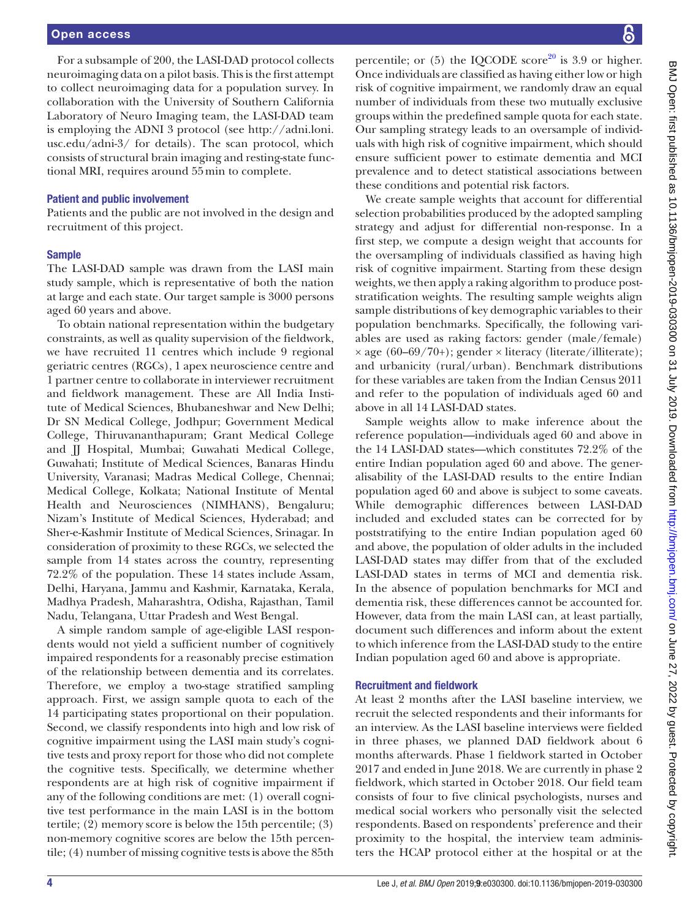#### Open access

For a subsample of 200, the LASI-DAD protocol collects neuroimaging data on a pilot basis. This is the first attempt to collect neuroimaging data for a population survey. In collaboration with the University of Southern California Laboratory of Neuro Imaging team, the LASI-DAD team is employing the ADNI 3 protocol (see [http://adni.loni.](http://adni.loni.usc.edu/adni-3/) [usc.edu/adni-3/](http://adni.loni.usc.edu/adni-3/) for details). The scan protocol, which consists of structural brain imaging and resting-state functional MRI, requires around 55min to complete.

#### Patient and public involvement

Patients and the public are not involved in the design and recruitment of this project.

#### Sample

The LASI-DAD sample was drawn from the LASI main study sample, which is representative of both the nation at large and each state. Our target sample is 3000 persons aged 60 years and above.

To obtain national representation within the budgetary constraints, as well as quality supervision of the fieldwork, we have recruited 11 centres which include 9 regional geriatric centres (RGCs), 1 apex neuroscience centre and 1 partner centre to collaborate in interviewer recruitment and fieldwork management. These are All India Institute of Medical Sciences, Bhubaneshwar and New Delhi; Dr SN Medical College, Jodhpur; Government Medical College, Thiruvananthapuram; Grant Medical College and JJ Hospital, Mumbai; Guwahati Medical College, Guwahati; Institute of Medical Sciences, Banaras Hindu University, Varanasi; Madras Medical College, Chennai; Medical College, Kolkata; National Institute of Mental Health and Neurosciences (NIMHANS), Bengaluru; Nizam's Institute of Medical Sciences, Hyderabad; and Sher-e-Kashmir Institute of Medical Sciences, Srinagar. In consideration of proximity to these RGCs, we selected the sample from 14 states across the country, representing 72.2% of the population. These 14 states include Assam, Delhi, Haryana, Jammu and Kashmir, Karnataka, Kerala, Madhya Pradesh, Maharashtra, Odisha, Rajasthan, Tamil Nadu, Telangana, Uttar Pradesh and West Bengal.

A simple random sample of age-eligible LASI respondents would not yield a sufficient number of cognitively impaired respondents for a reasonably precise estimation of the relationship between dementia and its correlates. Therefore, we employ a two-stage stratified sampling approach. First, we assign sample quota to each of the 14 participating states proportional on their population. Second, we classify respondents into high and low risk of cognitive impairment using the LASI main study's cognitive tests and proxy report for those who did not complete the cognitive tests. Specifically, we determine whether respondents are at high risk of cognitive impairment if any of the following conditions are met: (1) overall cognitive test performance in the main LASI is in the bottom tertile; (2) memory score is below the 15th percentile; (3) non-memory cognitive scores are below the 15th percentile; (4) number of missing cognitive tests is above the 85th

percentile; or  $(5)$  the IOCODE score<sup>20</sup> is 3.9 or higher. Once individuals are classified as having either low or high risk of cognitive impairment, we randomly draw an equal number of individuals from these two mutually exclusive groups within the predefined sample quota for each state. Our sampling strategy leads to an oversample of individuals with high risk of cognitive impairment, which should ensure sufficient power to estimate dementia and MCI prevalence and to detect statistical associations between these conditions and potential risk factors.

We create sample weights that account for differential selection probabilities produced by the adopted sampling strategy and adjust for differential non-response. In a first step, we compute a design weight that accounts for the oversampling of individuals classified as having high risk of cognitive impairment. Starting from these design weights, we then apply a raking algorithm to produce poststratification weights. The resulting sample weights align sample distributions of key demographic variables to their population benchmarks. Specifically, the following variables are used as raking factors: gender (male/female)  $\times$  age (60–69/70+); gender  $\times$  literacy (literate/illiterate); and urbanicity (rural/urban). Benchmark distributions for these variables are taken from the Indian Census 2011 and refer to the population of individuals aged 60 and above in all 14 LASI-DAD states.

Sample weights allow to make inference about the reference population—individuals aged 60 and above in the 14 LASI-DAD states—which constitutes 72.2% of the entire Indian population aged 60 and above. The generalisability of the LASI-DAD results to the entire Indian population aged 60 and above is subject to some caveats. While demographic differences between LASI-DAD included and excluded states can be corrected for by poststratifying to the entire Indian population aged 60 and above, the population of older adults in the included LASI-DAD states may differ from that of the excluded LASI-DAD states in terms of MCI and dementia risk. In the absence of population benchmarks for MCI and dementia risk, these differences cannot be accounted for. However, data from the main LASI can, at least partially, document such differences and inform about the extent to which inference from the LASI-DAD study to the entire Indian population aged 60 and above is appropriate.

#### Recruitment and fieldwork

At least 2 months after the LASI baseline interview, we recruit the selected respondents and their informants for an interview. As the LASI baseline interviews were fielded in three phases, we planned DAD fieldwork about 6 months afterwards. Phase 1 fieldwork started in October 2017 and ended in June 2018. We are currently in phase 2 fieldwork, which started in October 2018. Our field team consists of four to five clinical psychologists, nurses and medical social workers who personally visit the selected respondents. Based on respondents' preference and their proximity to the hospital, the interview team administers the HCAP protocol either at the hospital or at the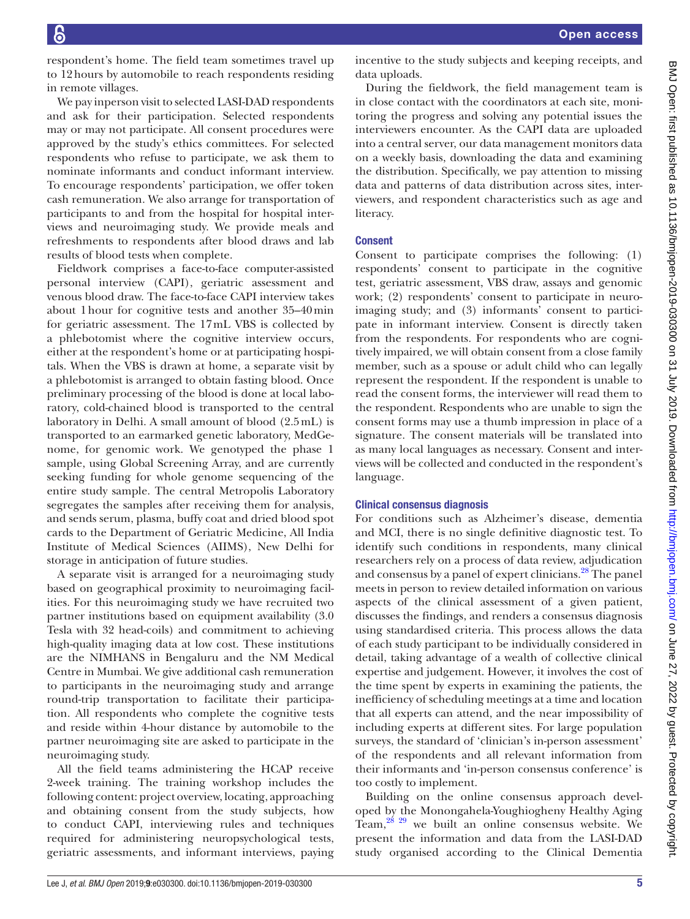respondent's home. The field team sometimes travel up to 12hours by automobile to reach respondents residing in remote villages.

We pay inperson visit to selected LASI-DAD respondents and ask for their participation. Selected respondents may or may not participate. All consent procedures were approved by the study's ethics committees. For selected respondents who refuse to participate, we ask them to nominate informants and conduct informant interview. To encourage respondents' participation, we offer token cash remuneration. We also arrange for transportation of participants to and from the hospital for hospital interviews and neuroimaging study. We provide meals and refreshments to respondents after blood draws and lab results of blood tests when complete.

Fieldwork comprises a face-to-face computer-assisted personal interview (CAPI), geriatric assessment and venous blood draw. The face-to-face CAPI interview takes about 1hour for cognitive tests and another 35–40min for geriatric assessment. The 17mL VBS is collected by a phlebotomist where the cognitive interview occurs, either at the respondent's home or at participating hospitals. When the VBS is drawn at home, a separate visit by a phlebotomist is arranged to obtain fasting blood. Once preliminary processing of the blood is done at local laboratory, cold-chained blood is transported to the central laboratory in Delhi. A small amount of blood (2.5mL) is transported to an earmarked genetic laboratory, MedGenome, for genomic work. We genotyped the phase 1 sample, using Global Screening Array, and are currently seeking funding for whole genome sequencing of the entire study sample. The central Metropolis Laboratory segregates the samples after receiving them for analysis, and sends serum, plasma, buffy coat and dried blood spot cards to the Department of Geriatric Medicine, All India Institute of Medical Sciences (AIIMS), New Delhi for storage in anticipation of future studies.

A separate visit is arranged for a neuroimaging study based on geographical proximity to neuroimaging facilities. For this neuroimaging study we have recruited two partner institutions based on equipment availability (3.0 Tesla with 32 head-coils) and commitment to achieving high-quality imaging data at low cost. These institutions are the NIMHANS in Bengaluru and the NM Medical Centre in Mumbai. We give additional cash remuneration to participants in the neuroimaging study and arrange round-trip transportation to facilitate their participation. All respondents who complete the cognitive tests and reside within 4-hour distance by automobile to the partner neuroimaging site are asked to participate in the neuroimaging study.

All the field teams administering the HCAP receive 2-week training. The training workshop includes the following content: project overview, locating, approaching and obtaining consent from the study subjects, how to conduct CAPI, interviewing rules and techniques required for administering neuropsychological tests, geriatric assessments, and informant interviews, paying

incentive to the study subjects and keeping receipts, and data uploads.

During the fieldwork, the field management team is in close contact with the coordinators at each site, monitoring the progress and solving any potential issues the interviewers encounter. As the CAPI data are uploaded into a central server, our data management monitors data on a weekly basis, downloading the data and examining the distribution. Specifically, we pay attention to missing data and patterns of data distribution across sites, interviewers, and respondent characteristics such as age and literacy.

#### Consent

Consent to participate comprises the following: (1) respondents' consent to participate in the cognitive test, geriatric assessment, VBS draw, assays and genomic work; (2) respondents' consent to participate in neuroimaging study; and (3) informants' consent to participate in informant interview. Consent is directly taken from the respondents. For respondents who are cognitively impaired, we will obtain consent from a close family member, such as a spouse or adult child who can legally represent the respondent. If the respondent is unable to read the consent forms, the interviewer will read them to the respondent. Respondents who are unable to sign the consent forms may use a thumb impression in place of a signature. The consent materials will be translated into as many local languages as necessary. Consent and interviews will be collected and conducted in the respondent's language.

#### Clinical consensus diagnosis

For conditions such as Alzheimer's disease, dementia and MCI, there is no single definitive diagnostic test. To identify such conditions in respondents, many clinical researchers rely on a process of data review, adjudication and consensus by a panel of expert clinicians.<sup>28</sup> The panel meets in person to review detailed information on various aspects of the clinical assessment of a given patient, discusses the findings, and renders a consensus diagnosis using standardised criteria. This process allows the data of each study participant to be individually considered in detail, taking advantage of a wealth of collective clinical expertise and judgement. However, it involves the cost of the time spent by experts in examining the patients, the inefficiency of scheduling meetings at a time and location that all experts can attend, and the near impossibility of including experts at different sites. For large population surveys, the standard of 'clinician's in-person assessment' of the respondents and all relevant information from their informants and 'in-person consensus conference' is too costly to implement.

Building on the online consensus approach developed by the Monongahela-Youghiogheny Healthy Aging Team[,28 29](#page-6-29) we built an online consensus website. We present the information and data from the LASI-DAD study organised according to the Clinical Dementia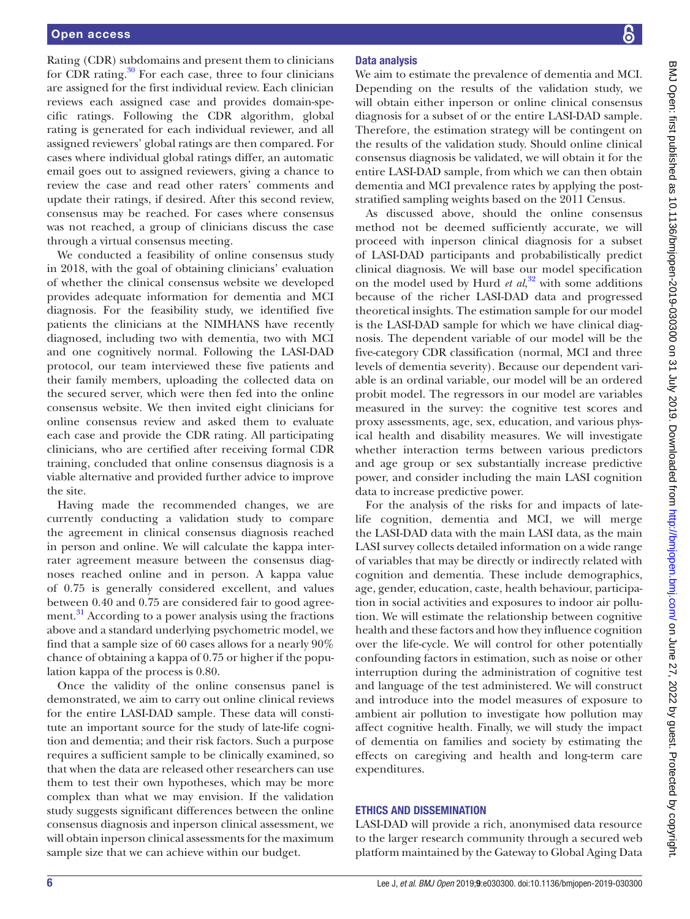Rating (CDR) subdomains and present them to clinicians for CDR rating. $30$  For each case, three to four clinicians are assigned for the first individual review. Each clinician reviews each assigned case and provides domain-specific ratings. Following the CDR algorithm, global rating is generated for each individual reviewer, and all assigned reviewers' global ratings are then compared. For cases where individual global ratings differ, an automatic email goes out to assigned reviewers, giving a chance to review the case and read other raters' comments and update their ratings, if desired. After this second review, consensus may be reached. For cases where consensus was not reached, a group of clinicians discuss the case through a virtual consensus meeting.

We conducted a feasibility of online consensus study in 2018, with the goal of obtaining clinicians' evaluation of whether the clinical consensus website we developed provides adequate information for dementia and MCI diagnosis. For the feasibility study, we identified five patients the clinicians at the NIMHANS have recently diagnosed, including two with dementia, two with MCI and one cognitively normal. Following the LASI-DAD protocol, our team interviewed these five patients and their family members, uploading the collected data on the secured server, which were then fed into the online consensus website. We then invited eight clinicians for online consensus review and asked them to evaluate each case and provide the CDR rating. All participating clinicians, who are certified after receiving formal CDR training, concluded that online consensus diagnosis is a viable alternative and provided further advice to improve the site.

Having made the recommended changes, we are currently conducting a validation study to compare the agreement in clinical consensus diagnosis reached in person and online. We will calculate the kappa interrater agreement measure between the consensus diagnoses reached online and in person. A kappa value of 0.75 is generally considered excellent, and values between 0.40 and 0.75 are considered fair to good agreement.<sup>31</sup> According to a power analysis using the fractions above and a standard underlying psychometric model, we find that a sample size of 60 cases allows for a nearly 90% chance of obtaining a kappa of 0.75 or higher if the population kappa of the process is 0.80.

Once the validity of the online consensus panel is demonstrated, we aim to carry out online clinical reviews for the entire LASI-DAD sample. These data will constitute an important source for the study of late-life cognition and dementia; and their risk factors. Such a purpose requires a sufficient sample to be clinically examined, so that when the data are released other researchers can use them to test their own hypotheses, which may be more complex than what we may envision. If the validation study suggests significant differences between the online consensus diagnosis and inperson clinical assessment, we will obtain inperson clinical assessments for the maximum sample size that we can achieve within our budget.

#### Data analysis

We aim to estimate the prevalence of dementia and MCI. Depending on the results of the validation study, we will obtain either inperson or online clinical consensus diagnosis for a subset of or the entire LASI-DAD sample. Therefore, the estimation strategy will be contingent on the results of the validation study. Should online clinical consensus diagnosis be validated, we will obtain it for the entire LASI-DAD sample, from which we can then obtain dementia and MCI prevalence rates by applying the poststratified sampling weights based on the 2011 Census.

As discussed above, should the online consensus method not be deemed sufficiently accurate, we will proceed with inperson clinical diagnosis for a subset of LASI-DAD participants and probabilistically predict clinical diagnosis. We will base our model specification on the model used by Hurd *et al*, [32](#page-6-31) with some additions because of the richer LASI-DAD data and progressed theoretical insights. The estimation sample for our model is the LASI-DAD sample for which we have clinical diagnosis. The dependent variable of our model will be the five-category CDR classification (normal, MCI and three levels of dementia severity). Because our dependent variable is an ordinal variable, our model will be an ordered probit model. The regressors in our model are variables measured in the survey: the cognitive test scores and proxy assessments, age, sex, education, and various physical health and disability measures. We will investigate whether interaction terms between various predictors and age group or sex substantially increase predictive power, and consider including the main LASI cognition data to increase predictive power.

For the analysis of the risks for and impacts of latelife cognition, dementia and MCI, we will merge the LASI-DAD data with the main LASI data, as the main LASI survey collects detailed information on a wide range of variables that may be directly or indirectly related with cognition and dementia. These include demographics, age, gender, education, caste, health behaviour, participation in social activities and exposures to indoor air pollution. We will estimate the relationship between cognitive health and these factors and how they influence cognition over the life-cycle. We will control for other potentially confounding factors in estimation, such as noise or other interruption during the administration of cognitive test and language of the test administered. We will construct and introduce into the model measures of exposure to ambient air pollution to investigate how pollution may affect cognitive health. Finally, we will study the impact of dementia on families and society by estimating the effects on caregiving and health and long-term care expenditures.

# Ethics and dissemination

LASI-DAD will provide a rich, anonymised data resource to the larger research community through a secured web platform maintained by the Gateway to Global Aging Data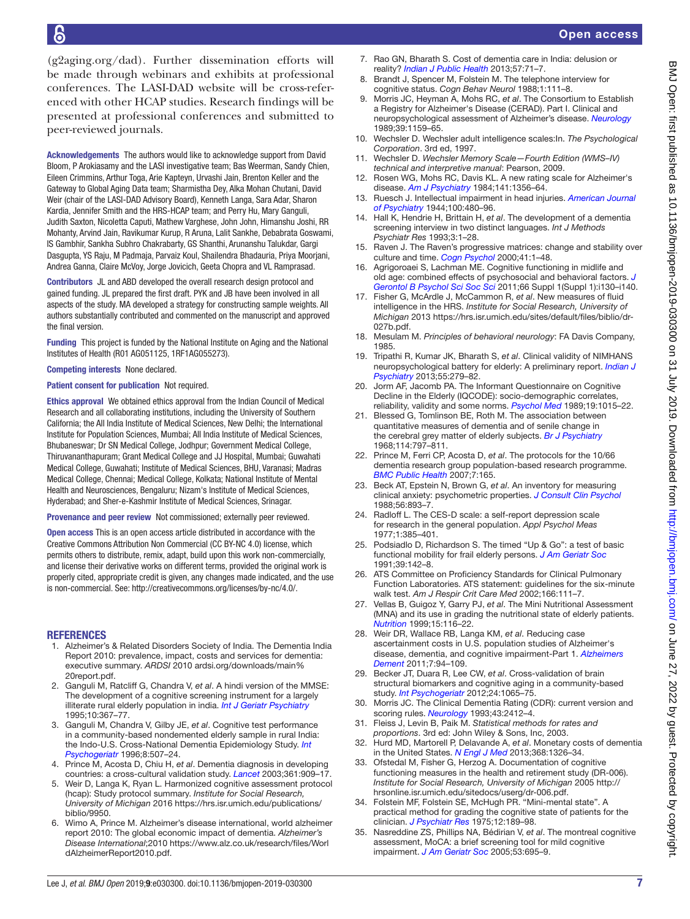(g2aging.org/dad). Further dissemination efforts will be made through webinars and exhibits at professional conferences. The LASI-DAD website will be cross-referenced with other HCAP studies. Research findings will be presented at professional conferences and submitted to peer-reviewed journals.

Acknowledgements The authors would like to acknowledge support from David Bloom, P Arokiasamy and the LASI investigative team; Bas Weerman, Sandy Chien, Eileen Crimmins, Arthur Toga, Arie Kapteyn, Urvashi Jain, Brenton Keller and the Gateway to Global Aging Data team; Sharmistha Dey, Alka Mohan Chutani, David Weir (chair of the LASI-DAD Advisory Board), Kenneth Langa, Sara Adar, Sharon Kardia, Jennifer Smith and the HRS-HCAP team; and Perry Hu, Mary Ganguli, Judith Saxton, Nicoletta Caputi, Mathew Varghese, John John, Himanshu Joshi, RR Mohanty, Arvind Jain, Ravikumar Kurup, R Aruna, Lalit Sankhe, Debabrata Goswami, IS Gambhir, Sankha Subhro Chakrabarty, GS Shanthi, Arunanshu Talukdar, Gargi Dasgupta, YS Raju, M Padmaja, Parvaiz Koul, Shailendra Bhadauria, Priya Moorjani, Andrea Ganna, Claire McVoy, Jorge Jovicich, Geeta Chopra and VL Ramprasad.

Contributors JL and ABD developed the overall research design protocol and gained funding. JL prepared the first draft. PYK and JB have been involved in all aspects of the study. MA developed a strategy for constructing sample weights. All authors substantially contributed and commented on the manuscript and approved the final version.

Funding This project is funded by the National Institute on Aging and the National Institutes of Health (R01 AG051125, 1RF1AG055273).

Competing interests None declared.

Patient consent for publication Not required.

Ethics approval We obtained ethics approval from the Indian Council of Medical Research and all collaborating institutions, including the University of Southern California; the All India Institute of Medical Sciences, New Delhi; the International Institute for Population Sciences, Mumbai; All India Institute of Medical Sciences, Bhubaneswar; Dr SN Medical College, Jodhpur; Government Medical College, Thiruvananthapuram; Grant Medical College and JJ Hospital, Mumbai; Guwahati Medical College, Guwahati; Institute of Medical Sciences, BHU, Varanasi; Madras Medical College, Chennai; Medical College, Kolkata; National Institute of Mental Health and Neurosciences, Bengaluru; Nizam's Institute of Medical Sciences, Hyderabad; and Sher-e-Kashmir Institute of Medical Sciences, Srinagar.

Provenance and peer review Not commissioned; externally peer reviewed.

Open access This is an open access article distributed in accordance with the Creative Commons Attribution Non Commercial (CC BY-NC 4.0) license, which permits others to distribute, remix, adapt, build upon this work non-commercially, and license their derivative works on different terms, provided the original work is properly cited, appropriate credit is given, any changes made indicated, and the use is non-commercial. See: <http://creativecommons.org/licenses/by-nc/4.0/>.

#### **REFERENCES**

- <span id="page-6-0"></span>1. Alzheimer's & Related Disorders Society of India. The Dementia India Report 2010: prevalence, impact, costs and services for dementia: executive summary. *ARDSI* 2010 [ardsi.org/downloads/main%](ardsi.org/downloads/main%20report.pdf) [20report.pdf.](ardsi.org/downloads/main%20report.pdf)
- <span id="page-6-1"></span>2. Ganguli M, Ratcliff G, Chandra V, *et al*. A hindi version of the MMSE: The development of a cognitive screening instrument for a largely illiterate rural elderly population in india. *[Int J Geriatr Psychiatry](http://dx.doi.org/10.1002/gps.930100505)* 1995;10:367–77.
- 3. Ganguli M, Chandra V, Gilby JE, *et al*. Cognitive test performance in a community-based nondemented elderly sample in rural India: the Indo-U.S. Cross-National Dementia Epidemiology Study. *[Int](http://dx.doi.org/10.1017/S1041610296002852)  [Psychogeriatr](http://dx.doi.org/10.1017/S1041610296002852)* 1996;8:507–24.
- <span id="page-6-2"></span>4. Prince M, Acosta D, Chiu H, *et al*. Dementia diagnosis in developing countries: a cross-cultural validation study. *[Lancet](http://dx.doi.org/10.1016/S0140-6736(03)12772-9)* 2003;361:909–17.
- <span id="page-6-3"></span>Weir D, Langa K, Ryan L. Harmonized cognitive assessment protocol (hcap): Study protocol summary. *Institute for Social Research, University of Michigan* 2016 [https://hrs.isr.umich.edu/publications/](https://hrs.isr.umich.edu/publications/biblio/9950) [biblio/9950.](https://hrs.isr.umich.edu/publications/biblio/9950)
- <span id="page-6-4"></span>6. Wimo A, Prince M. Alzheimer's disease international, world alzheimer report 2010: The global economic impact of dementia. *Alzheimer's Disease International*;2010 [https://www.alz.co.uk/research/files/Worl](https://www.alz.co.uk/research/files/WorldAlzheimerReport2010.pdf) [dAlzheimerReport2010.pdf](https://www.alz.co.uk/research/files/WorldAlzheimerReport2010.pdf).
- 7. Rao GN, Bharath S. Cost of dementia care in India: delusion or reality? *[Indian J Public Health](http://dx.doi.org/10.4103/0019-557X.114986)* 2013;57:71–7.
- <span id="page-6-5"></span>Brandt J, Spencer M, Folstein M. The telephone interview for cognitive status. *Cogn Behav Neurol* 1988;1:111–8.
- <span id="page-6-6"></span>9. Morris JC, Heyman A, Mohs RC, *et al*. The Consortium to Establish a Registry for Alzheimer's Disease (CERAD). Part I. Clinical and neuropsychological assessment of Alzheimer's disease. *[Neurology](http://dx.doi.org/10.1212/wnl.39.9.1159)* 1989;39:1159–65.
- <span id="page-6-7"></span>10. Wechsler D. Wechsler adult intelligence scales:In. *The Psychological Corporation*. 3rd ed, 1997.
- <span id="page-6-8"></span>11. Wechsler D. *Wechsler Memory Scale—Fourth Edition (WMS–IV) technical and interpretive manual*: Pearson, 2009.
- <span id="page-6-9"></span>12. Rosen WG, Mohs RC, Davis KL. A new rating scale for Alzheimer's disease. *[Am J Psychiatry](http://dx.doi.org/10.1176/ajp.141.11.1356)* 1984;141:1356–64.
- <span id="page-6-10"></span>13. Ruesch J. Intellectual impairment in head injuries. *[American Journal](http://dx.doi.org/10.1176/ajp.100.4.480)  [of Psychiatry](http://dx.doi.org/10.1176/ajp.100.4.480)* 1944;100:480–96.
- <span id="page-6-11"></span>14. Hall K, Hendrie H, Brittain H, *et al*. The development of a dementia screening interview in two distinct languages. *Int J Methods Psychiatr Res* 1993;3:1–28.
- <span id="page-6-12"></span>15. Raven J. The Raven's progressive matrices: change and stability over culture and time. *[Cogn Psychol](http://dx.doi.org/10.1006/cogp.1999.0735)* 2000;41:1–48.
- <span id="page-6-13"></span>16. Agrigoroaei S, Lachman ME. Cognitive functioning in midlife and old age: combined effects of psychosocial and behavioral factors. *[J](http://dx.doi.org/10.1093/geronb/gbr017)  [Gerontol B Psychol Sci Soc Sci](http://dx.doi.org/10.1093/geronb/gbr017)* 2011;66 Suppl 1(Suppl 1):i130–i140.
- <span id="page-6-14"></span>17. Fisher G, McArdle J, McCammon R, *et al*. New measures of fluid intelligence in the HRS. *Institute for Social Research, University of Michigan* 2013 [https://hrs.isr.umich.edu/sites/default/files/biblio/dr-](https://hrs.isr.umich.edu/sites/default/files/biblio/dr-027b.pdf)[027b.pdf.](https://hrs.isr.umich.edu/sites/default/files/biblio/dr-027b.pdf)
- <span id="page-6-15"></span>18. Mesulam M. *Principles of behavioral neurology*: FA Davis Company, 1985.
- <span id="page-6-16"></span>19. Tripathi R, Kumar JK, Bharath S, *et al*. Clinical validity of NIMHANS neuropsychological battery for elderly: A preliminary report. *[Indian J](http://dx.doi.org/10.4103/0019-5545.117149)  [Psychiatry](http://dx.doi.org/10.4103/0019-5545.117149)* 2013;55:279–82.
- <span id="page-6-17"></span>20. Jorm AF, Jacomb PA. The Informant Questionnaire on Cognitive Decline in the Elderly (IQCODE): socio-demographic correlates, reliability, validity and some norms. *[Psychol Med](http://dx.doi.org/10.1017/S0033291700005742)* 1989;19:1015–22.
- <span id="page-6-18"></span>21. Blessed G, Tomlinson BE, Roth M. The association between quantitative measures of dementia and of senile change in the cerebral grey matter of elderly subjects. *[Br J Psychiatry](http://dx.doi.org/10.1192/bjp.114.512.797)* 1968;114:797–811.
- <span id="page-6-19"></span>22. Prince M, Ferri CP, Acosta D, *et al*. The protocols for the 10/66 dementia research group population-based research programme. *[BMC Public Health](http://dx.doi.org/10.1186/1471-2458-7-165)* 2007;7:165.
- <span id="page-6-20"></span>23. Beck AT, Epstein N, Brown G, *et al*. An inventory for measuring clinical anxiety: psychometric properties. *[J Consult Clin Psychol](http://dx.doi.org/10.1037/0022-006X.56.6.893)* 1988;56:893–7.
- <span id="page-6-21"></span>24. Radloff L. The CES-D scale: a self-report depression scale for research in the general population. *Appl Psychol Meas* 1977;1:385–401.
- <span id="page-6-22"></span>25. Podsiadlo D, Richardson S. The timed "Up & Go": a test of basic functional mobility for frail elderly persons. *[J Am Geriatr Soc](http://dx.doi.org/10.1111/j.1532-5415.1991.tb01616.x)* 1991;39:142–8.
- <span id="page-6-23"></span>26. ATS Committee on Proficiency Standards for Clinical Pulmonary Function Laboratories. ATS statement: guidelines for the six-minute walk test. *Am J Respir Crit Care Med* 2002;166:111–7.
- <span id="page-6-24"></span>27. Vellas B, Guigoz Y, Garry PJ, *et al*. The Mini Nutritional Assessment (MNA) and its use in grading the nutritional state of elderly patients. *[Nutrition](http://dx.doi.org/10.1016/S0899-9007(98)00171-3)* 1999;15:116–22.
- <span id="page-6-29"></span>28. Weir DR, Wallace RB, Langa KM, *et al*. Reducing case ascertainment costs in U.S. population studies of Alzheimer's disease, dementia, and cognitive impairment-Part 1. *[Alzheimers](http://dx.doi.org/10.1016/j.jalz.2010.11.004)  [Dement](http://dx.doi.org/10.1016/j.jalz.2010.11.004)* 2011;7:94–109.
- 29. Becker JT, Duara R, Lee CW, *et al*. Cross-validation of brain structural biomarkers and cognitive aging in a community-based study. *[Int Psychogeriatr](http://dx.doi.org/10.1017/S1041610212000191)* 2012;24:1065–75.
- <span id="page-6-28"></span>30. Morris JC. The Clinical Dementia Rating (CDR): current version and scoring rules. *[Neurology](http://dx.doi.org/10.1212/WNL.43.11.2412-a)* 1993;43:2412–4.
- <span id="page-6-30"></span>31. Fleiss J, Levin B, Paik M. *Statistical methods for rates and proportions*. 3rd ed: John Wiley & Sons, Inc, 2003.
- <span id="page-6-31"></span>32. Hurd MD, Martorell P, Delavande A, *et al*. Monetary costs of dementia in the United States. *[N Engl J Med](http://dx.doi.org/10.1056/NEJMsa1204629)* 2013;368:1326–34.
- <span id="page-6-25"></span>33. Ofstedal M, Fisher G, Herzog A. Documentation of cognitive functioning measures in the health and retirement study (DR-006). *Institute for Social Research, University of Michigan* 2005 [http://](http://hrsonline.isr.umich.edu/sitedocs/userg/dr-006.pdf) [hrsonline.isr.umich.edu/sitedocs/userg/dr-006.pdf](http://hrsonline.isr.umich.edu/sitedocs/userg/dr-006.pdf).
- <span id="page-6-26"></span>34. Folstein MF, Folstein SE, McHugh PR. "Mini-mental state". A practical method for grading the cognitive state of patients for the clinician. *[J Psychiatr Res](http://www.ncbi.nlm.nih.gov/pubmed/1202204)* 1975;12:189–98.
- <span id="page-6-27"></span>35. Nasreddine ZS, Phillips NA, Bédirian V, *et al*. The montreal cognitive assessment, MoCA: a brief screening tool for mild cognitive impairment. *[J Am Geriatr Soc](http://dx.doi.org/10.1111/j.1532-5415.2005.53221.x)* 2005;53:695–9.

## Open access